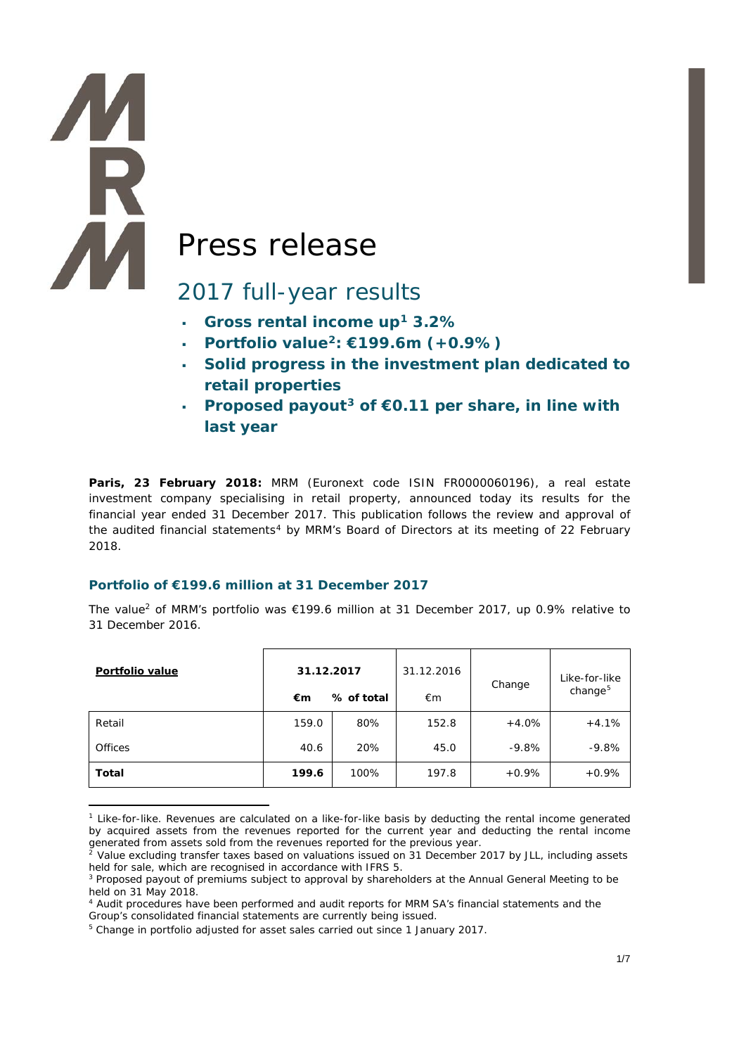# **AM** Press release

**AR** 

# 2017 full-year results

- <span id="page-0-0"></span>**Gross rental income up[1](#page-0-1) 3.2%**
- **Portfolio value[2](#page-0-2): €199.6m (+0.9%)**
- **Solid progress in the investment plan dedicated to retail properties**
- **Proposed payout[3](#page-0-3) of €0.11 per share, in line with last year**

**Paris, 23 February 2018:** MRM (Euronext code ISIN FR0000060196), a real estate investment company specialising in retail property, announced today its results for the financial year ended 31 December 2017. This publication follows the review and approval of the audited financial statements<sup>[4](#page-0-4)</sup> by MRM's Board of Directors at its meeting of 22 February 2018.

# **Portfolio of €199.6 million at 31 December 2017**

The valu[e2](#page-0-0) of MRM's portfolio was €199.6 million at 31 December 2017, up 0.9% relative to 31 December 2016.

| Portfolio value | 31.12.2017 |            | 31.12.2016 | Change  | Like-for-like<br>change $5$ |
|-----------------|------------|------------|------------|---------|-----------------------------|
|                 | €m         | % of total |            |         |                             |
| Retail          | 159.0      | 80%        | 152.8      | $+4.0%$ | $+4.1%$                     |
| <b>Offices</b>  | 40.6       | 20%        | 45.0       | $-9.8%$ | $-9.8%$                     |
| Total           | 199.6      | 100%       | 197.8      | $+0.9%$ | $+0.9%$                     |

<span id="page-0-1"></span><sup>-</sup><sup>1</sup> Like-for-like. Revenues are calculated on a like-for-like basis by deducting the rental income generated by acquired assets from the revenues reported for the current year and deducting the rental income generated from assets sold from the revenues reported for the previous year.

<span id="page-0-2"></span><sup>&</sup>lt;sup>2</sup> Value excluding transfer taxes based on valuations issued on 31 December 2017 by JLL, including assets held for sale, which are recognised in accordance with IFRS 5.

<span id="page-0-3"></span><sup>&</sup>lt;sup>3</sup> Proposed payout of premiums subject to approval by shareholders at the Annual General Meeting to be held on 31 May 2018.

<span id="page-0-4"></span><sup>4</sup> Audit procedures have been performed and audit reports for MRM SA's financial statements and the Group's consolidated financial statements are currently being issued.

<span id="page-0-5"></span><sup>&</sup>lt;sup>5</sup> Change in portfolio adjusted for asset sales carried out since 1 January 2017.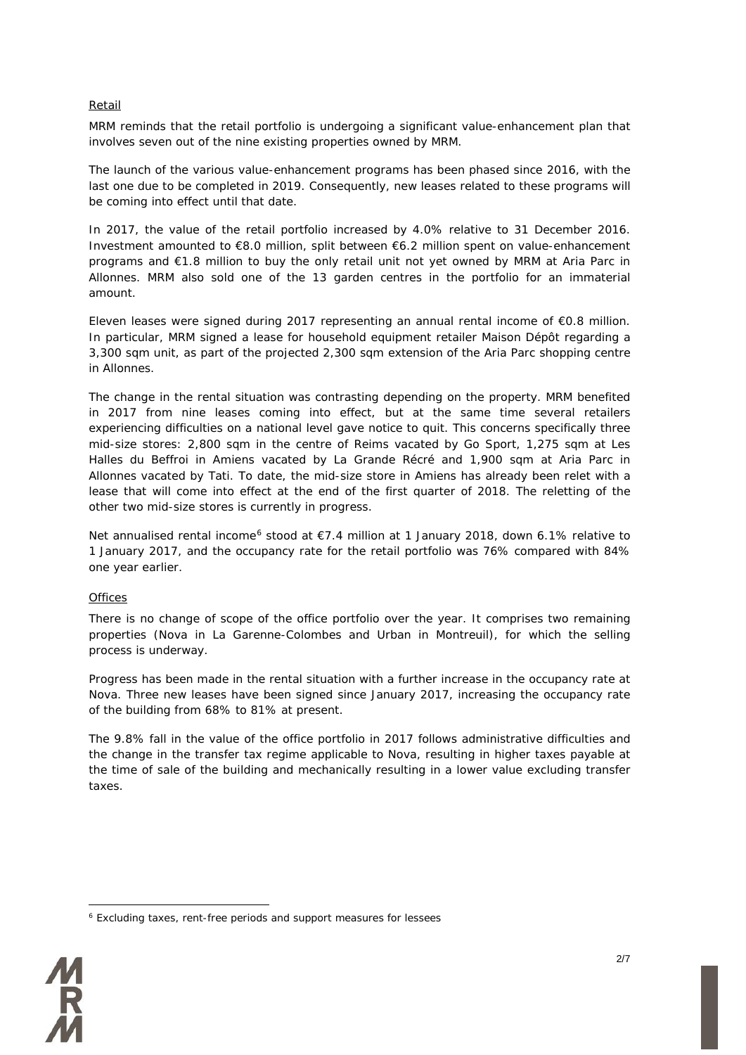#### Retail

MRM reminds that the retail portfolio is undergoing a significant value-enhancement plan that involves seven out of the nine existing properties owned by MRM.

The launch of the various value-enhancement programs has been phased since 2016, with the last one due to be completed in 2019. Consequently, new leases related to these programs will be coming into effect until that date.

In 2017, the value of the retail portfolio increased by 4.0% relative to 31 December 2016. Investment amounted to €8.0 million, split between €6.2 million spent on value-enhancement programs and €1.8 million to buy the only retail unit not yet owned by MRM at Aria Parc in Allonnes. MRM also sold one of the 13 garden centres in the portfolio for an immaterial amount.

Eleven leases were signed during 2017 representing an annual rental income of €0.8 million. In particular, MRM signed a lease for household equipment retailer Maison Dépôt regarding a 3,300 sqm unit, as part of the projected 2,300 sqm extension of the Aria Parc shopping centre in Allonnes.

The change in the rental situation was contrasting depending on the property. MRM benefited in 2017 from nine leases coming into effect, but at the same time several retailers experiencing difficulties on a national level gave notice to quit. This concerns specifically three mid-size stores: 2,800 sqm in the centre of Reims vacated by Go Sport, 1,275 sqm at Les Halles du Beffroi in Amiens vacated by La Grande Récré and 1,900 sqm at Aria Parc in Allonnes vacated by Tati. To date, the mid-size store in Amiens has already been relet with a lease that will come into effect at the end of the first quarter of 2018. The reletting of the other two mid-size stores is currently in progress.

<span id="page-1-1"></span>Net annualised rental income<sup>[6](#page-1-0)</sup> stood at €7.4 million at 1 January 2018, down 6.1% relative to 1 January 2017, and the occupancy rate for the retail portfolio was 76% compared with 84% one year earlier.

#### **Offices**

There is no change of scope of the office portfolio over the year. It comprises two remaining properties (Nova in La Garenne-Colombes and Urban in Montreuil), for which the selling process is underway.

Progress has been made in the rental situation with a further increase in the occupancy rate at Nova. Three new leases have been signed since January 2017, increasing the occupancy rate of the building from 68% to 81% at present.

The 9.8% fall in the value of the office portfolio in 2017 follows administrative difficulties and the change in the transfer tax regime applicable to Nova, resulting in higher taxes payable at the time of sale of the building and mechanically resulting in a lower value excluding transfer taxes.

<span id="page-1-0"></span><sup>&</sup>lt;u>.</u> <sup>6</sup> Excluding taxes, rent-free periods and support measures for lessees

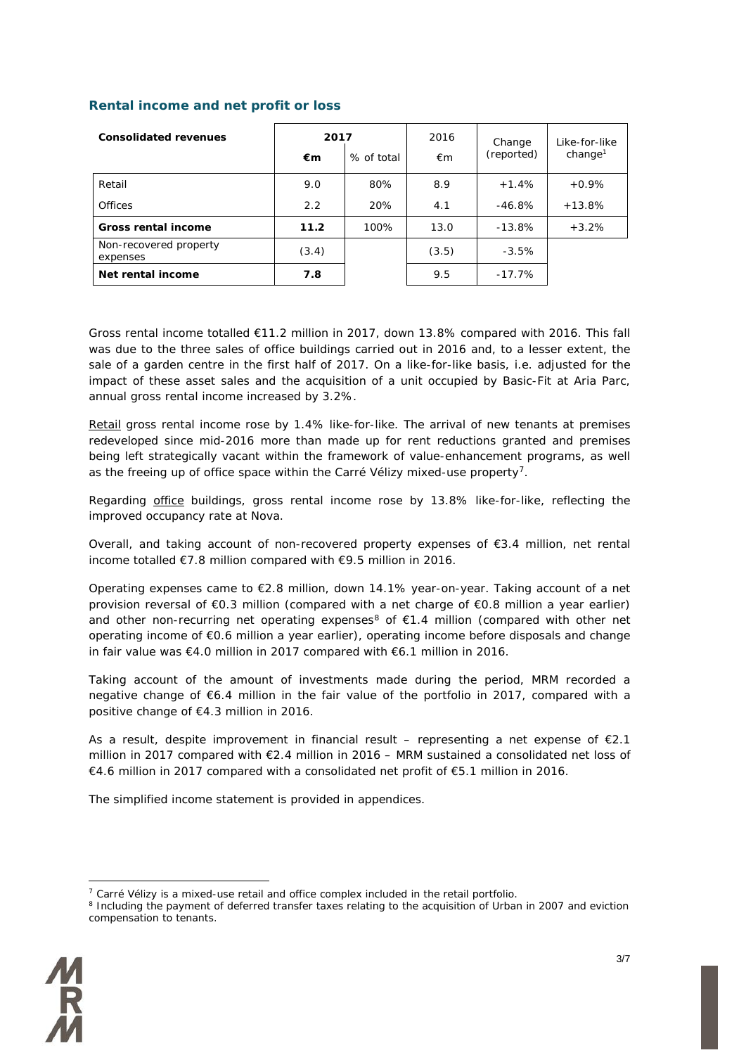# **Rental income and net profit or loss**

| <b>Consolidated revenues</b>       | 2017<br>% of total<br>€m |      | 2016<br>€m | Change<br>(reported) | Like-for-like<br>change <sup>1</sup> |
|------------------------------------|--------------------------|------|------------|----------------------|--------------------------------------|
| Retail                             | 9.0                      | 80%  | 8.9        | $+1.4%$              | $+0.9\%$                             |
| <b>Offices</b>                     | 2.2                      | 20%  | 4.1        | $-46.8%$             | $+13.8\%$                            |
| <b>Gross rental income</b>         | 11.2                     | 100% | 13.0       | -13.8%               | $+3.2%$                              |
| Non-recovered property<br>expenses | (3.4)                    |      | (3.5)      | $-3.5%$              |                                      |
| Net rental income                  | 7.8                      |      | 9.5        | $-17.7\%$            |                                      |

Gross rental income totalled €11.2 million in 2017, down 13.8% compared with 2016. This fall was due to the three sales of office buildings carried out in 2016 and, to a lesser extent, the sale of a garden centre in the first half of 2017. On a like-for-like basis, i.e. adjusted for the impact of these asset sales and the acquisition of a unit occupied by Basic-Fit at Aria Parc, annual gross rental income increased by 3.2%.

Retail gross rental income rose by 1.4% like-for-like. The arrival of new tenants at premises redeveloped since mid-2016 more than made up for rent reductions granted and premises being left strategically vacant within the framework of value-enhancement programs, as well as the freeing up of office space within the Carré Vélizy mixed-use property<sup>[7](#page-2-0)</sup>.

Regarding office buildings, gross rental income rose by 13.8% like-for-like, reflecting the improved occupancy rate at Nova.

Overall, and taking account of non-recovered property expenses of €3.4 million, net rental income totalled €7.8 million compared with €9.5 million in 2016.

Operating expenses came to €2.8 million, down 14.1% year-on-year. Taking account of a net provision reversal of €0.3 million (compared with a net charge of €0.8 million a year earlier) and other non-recurring net operating expenses<sup>[8](#page-2-1)</sup> of  $\epsilon$ 1.4 million (compared with other net operating income of €0.6 million a year earlier), operating income before disposals and change in fair value was €4.0 million in 2017 compared with €6.1 million in 2016.

Taking account of the amount of investments made during the period, MRM recorded a negative change of €6.4 million in the fair value of the portfolio in 2017, compared with a positive change of €4.3 million in 2016.

As a result, despite improvement in financial result – representing a net expense of  $E$ 2.1 million in 2017 compared with €2.4 million in 2016 – MRM sustained a consolidated net loss of €4.6 million in 2017 compared with a consolidated net profit of €5.1 million in 2016.

The simplified income statement is provided in appendices.

<span id="page-2-1"></span><span id="page-2-0"></span><sup>&</sup>lt;sup>8</sup> Including the payment of deferred transfer taxes relating to the acquisition of Urban in 2007 and eviction compensation to tenants.



<sup>&</sup>lt;u>.</u>  $<sup>7</sup>$  Carré Vélizy is a mixed-use retail and office complex included in the retail portfolio.</sup>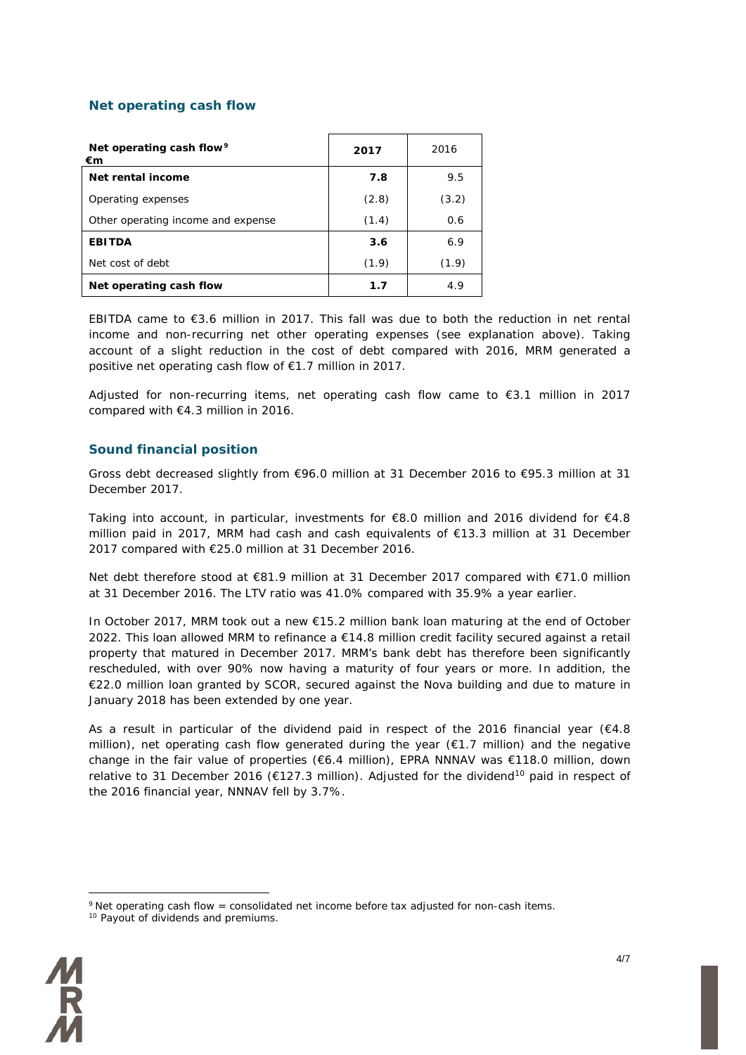### **Net operating cash flow**

| Net operating cash flow <sup>9</sup><br>€m | 2017  | 2016  |
|--------------------------------------------|-------|-------|
| Net rental income                          | 7.8   | 9.5   |
| Operating expenses                         | (2.8) | (3.2) |
| Other operating income and expense         | (1.4) | 0.6   |
| <b>EBITDA</b>                              | 3.6   | 6.9   |
| Net cost of debt                           | (1.9) | (1.9) |
| Net operating cash flow                    | 1.7   | 4.9   |

EBITDA came to €3.6 million in 2017. This fall was due to both the reduction in net rental income and non-recurring net other operating expenses (see explanation above). Taking account of a slight reduction in the cost of debt compared with 2016, MRM generated a positive net operating cash flow of €1.7 million in 2017.

Adjusted for non-recurring items, net operating cash flow came to  $\epsilon$ 3.1 million in 2017 compared with €4.3 million in 2016.

#### **Sound financial position**

Gross debt decreased slightly from €96.0 million at 31 December 2016 to €95.3 million at 31 December 2017.

Taking into account, in particular, investments for €8.0 million and 2016 dividend for €4.8 million paid in 2017, MRM had cash and cash equivalents of €13.3 million at 31 December 2017 compared with €25.0 million at 31 December 2016.

Net debt therefore stood at €81.9 million at 31 December 2017 compared with €71.0 million at 31 December 2016. The LTV ratio was 41.0% compared with 35.9% a year earlier.

In October 2017, MRM took out a new €15.2 million bank loan maturing at the end of October 2022. This loan allowed MRM to refinance a €14.8 million credit facility secured against a retail property that matured in December 2017. MRM's bank debt has therefore been significantly rescheduled, with over 90% now having a maturity of four years or more. In addition, the €22.0 million loan granted by SCOR, secured against the Nova building and due to mature in January 2018 has been extended by one year.

As a result in particular of the dividend paid in respect of the 2016 financial year ( $€4.8$ ) million), net operating cash flow generated during the year  $(E1.7 \text{ million})$  and the negative change in the fair value of properties (€6.4 million), EPRA NNNAV was €118.0 million, down relative to 31 December 2016 ( $E127.3$  million). Adjusted for the dividend<sup>[10](#page-3-0)</sup> paid in respect of the 2016 financial year, NNNAV fell by 3.7%.

<span id="page-3-1"></span><span id="page-3-0"></span><sup>&</sup>lt;sup>10</sup> Payout of dividends and premiums.



<sup>&</sup>lt;u>.</u>  $9$  Net operating cash flow = consolidated net income before tax adjusted for non-cash items.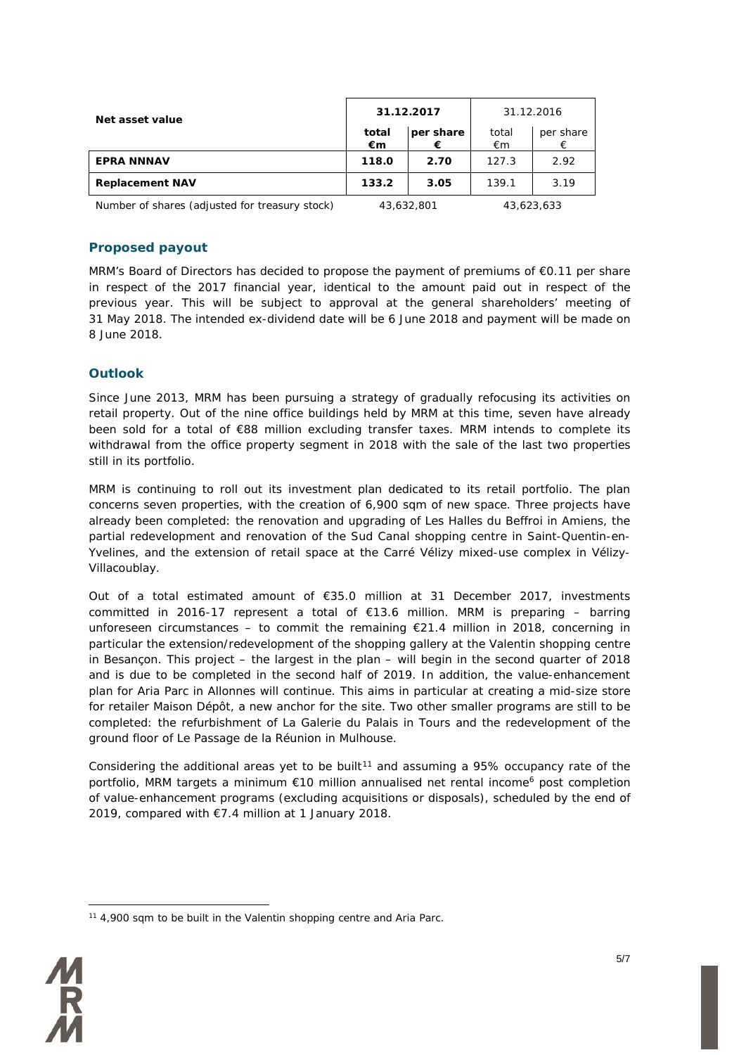| Net asset value                                                                                                                                   |             | 31.12.2017     | 31.12.2016  |                          |
|---------------------------------------------------------------------------------------------------------------------------------------------------|-------------|----------------|-------------|--------------------------|
|                                                                                                                                                   | total<br>€m | per share<br>€ | total<br>€m | per share<br>€           |
| <b>EPRA NNNAV</b>                                                                                                                                 | 118.0       | 2.70           | 127.3       | 2.92                     |
| <b>Replacement NAV</b>                                                                                                                            | 133.2       | 3.05           | 139.1       | 3.19                     |
| $\mathbf{a}$ , and $\mathbf{a}$ , and $\mathbf{a}$ , and $\mathbf{a}$ , and $\mathbf{a}$ , and $\mathbf{a}$ , and $\mathbf{a}$ , and $\mathbf{a}$ |             |                |             | $\overline{\phantom{a}}$ |

*Number of shares (adjusted for treasury stock) 43,632,801 43,623,633*

## **Proposed payout**

MRM's Board of Directors has decided to propose the payment of premiums of €0.11 per share in respect of the 2017 financial year, identical to the amount paid out in respect of the previous year. This will be subject to approval at the general shareholders' meeting of 31 May 2018. The intended ex-dividend date will be 6 June 2018 and payment will be made on 8 June 2018.

# **Outlook**

Since June 2013, MRM has been pursuing a strategy of gradually refocusing its activities on retail property. Out of the nine office buildings held by MRM at this time, seven have already been sold for a total of €88 million excluding transfer taxes. MRM intends to complete its withdrawal from the office property segment in 2018 with the sale of the last two properties still in its portfolio.

MRM is continuing to roll out its investment plan dedicated to its retail portfolio. The plan concerns seven properties, with the creation of 6,900 sqm of new space. Three projects have already been completed: the renovation and upgrading of Les Halles du Beffroi in Amiens, the partial redevelopment and renovation of the Sud Canal shopping centre in Saint-Quentin-en-Yvelines, and the extension of retail space at the Carré Vélizy mixed-use complex in Vélizy-Villacoublay.

Out of a total estimated amount of €35.0 million at 31 December 2017, investments committed in 2016-17 represent a total of €13.6 million. MRM is preparing – barring unforeseen circumstances – to commit the remaining  $E$ 21.4 million in 2018, concerning in particular the extension/redevelopment of the shopping gallery at the Valentin shopping centre in Besançon. This project – the largest in the plan – will begin in the second quarter of 2018 and is due to be completed in the second half of 2019. In addition, the value-enhancement plan for Aria Parc in Allonnes will continue. This aims in particular at creating a mid-size store for retailer Maison Dépôt, a new anchor for the site. Two other smaller programs are still to be completed: the refurbishment of La Galerie du Palais in Tours and the redevelopment of the ground floor of Le Passage de la Réunion in Mulhouse.

Considering the additional areas yet to be built<sup>[11](#page-4-0)</sup> and assuming a 95% occupancy rate of the portfolio, MRM targets a minimum  $\epsilon$ 10 million annualised net rental income<sup>6</sup> post completion of value-enhancement programs (excluding acquisitions or disposals), scheduled by the end of 2019, compared with €7.4 million at 1 January 2018.

<span id="page-4-0"></span><sup>&</sup>lt;u>.</u>  $11$  4,900 sam to be built in the Valentin shopping centre and Aria Parc.

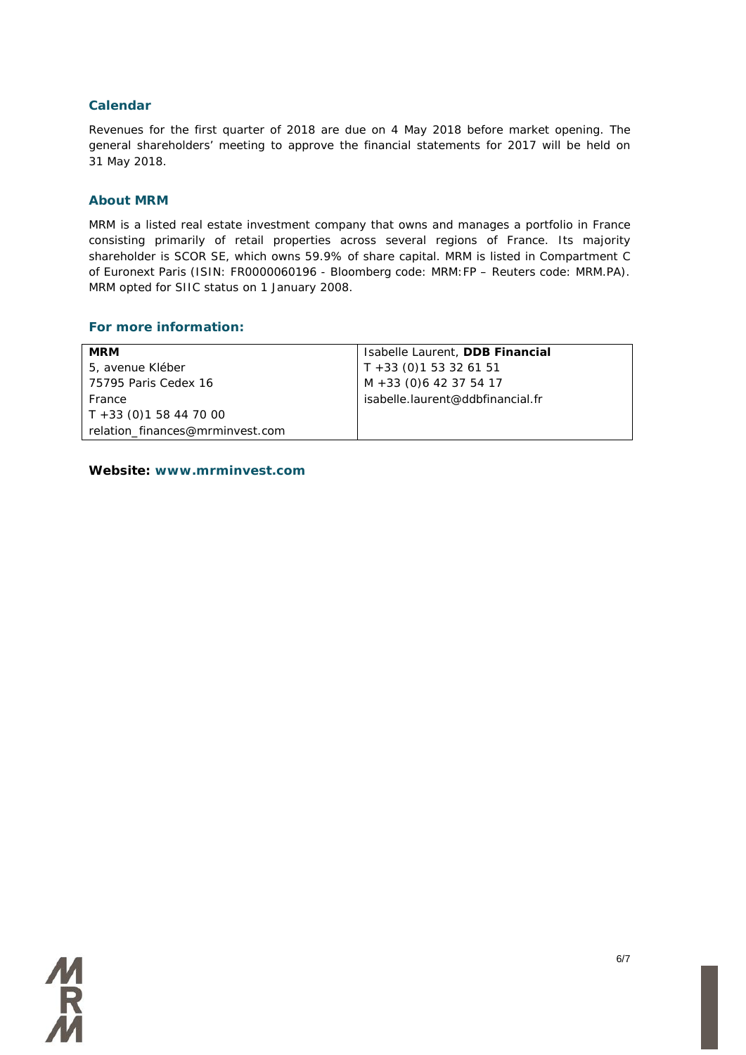### **Calendar**

Revenues for the first quarter of 2018 are due on 4 May 2018 before market opening. The general shareholders' meeting to approve the financial statements for 2017 will be held on 31 May 2018.

#### **About MRM**

MRM is a listed real estate investment company that owns and manages a portfolio in France consisting primarily of retail properties across several regions of France. Its majority shareholder is SCOR SE, which owns 59.9% of share capital. MRM is listed in Compartment C of Euronext Paris (ISIN: FR0000060196 - Bloomberg code: MRM:FP – Reuters code: MRM.PA). MRM opted for SIIC status on 1 January 2008.

#### **For more information:**

| <b>MRM</b>                      | Isabelle Laurent, DDB Financial  |
|---------------------------------|----------------------------------|
| 5, avenue Kléber                | $T + 33$ (0) 1 53 32 61 51       |
| 75795 Paris Cedex 16            | M +33 (0)6 42 37 54 17           |
| France                          | isabelle.laurent@ddbfinancial.fr |
| $T + 33$ (0)1 58 44 70 00       |                                  |
| relation finances@mrminvest.com |                                  |

**Website: www.mrminvest.com**